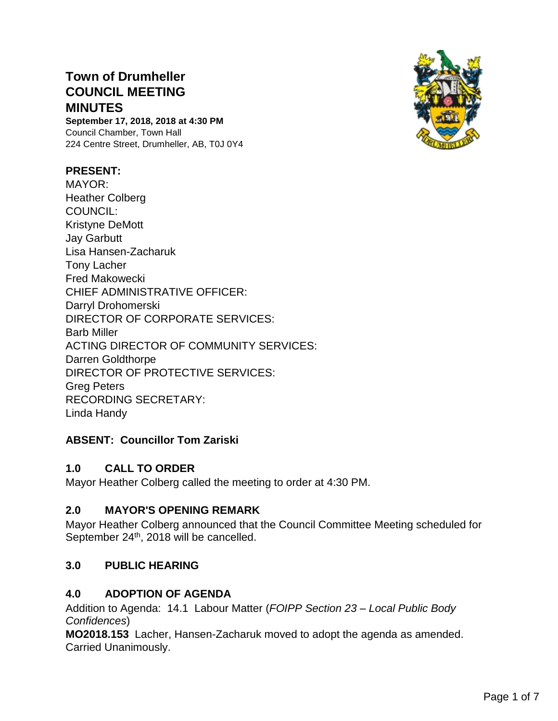# **Town of Drumheller COUNCIL MEETING MINUTES**

**September 17, 2018, 2018 at 4:30 PM** Council Chamber, Town Hall 224 Centre Street, Drumheller, AB, T0J 0Y4

#### **PRESENT:**

MAYOR: Heather Colberg COUNCIL: Kristyne DeMott Jay Garbutt Lisa Hansen-Zacharuk Tony Lacher Fred Makowecki CHIEF ADMINISTRATIVE OFFICER: Darryl Drohomerski DIRECTOR OF CORPORATE SERVICES: Barb Miller ACTING DIRECTOR OF COMMUNITY SERVICES: Darren Goldthorpe DIRECTOR OF PROTECTIVE SERVICES: Greg Peters RECORDING SECRETARY: Linda Handy

#### **ABSENT: Councillor Tom Zariski**

#### **1.0 CALL TO ORDER**

Mayor Heather Colberg called the meeting to order at 4:30 PM.

#### **2.0 MAYOR'S OPENING REMARK**

Mayor Heather Colberg announced that the Council Committee Meeting scheduled for September 24<sup>th</sup>, 2018 will be cancelled.

#### **3.0 PUBLIC HEARING**

#### **4.0 ADOPTION OF AGENDA**

Addition to Agenda: 14.1 Labour Matter (*FOIPP Section 23 – Local Public Body Confidences*)

**MO2018.153** Lacher, Hansen-Zacharuk moved to adopt the agenda as amended. Carried Unanimously.

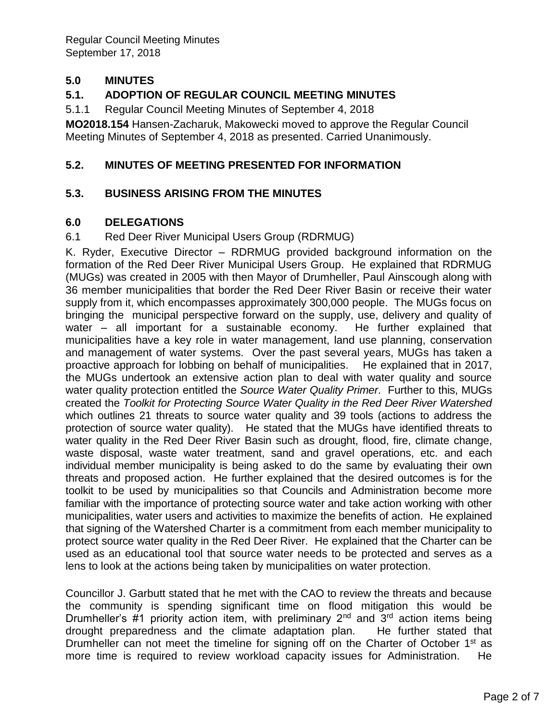## **5.0 MINUTES**

## **5.1. ADOPTION OF REGULAR COUNCIL MEETING MINUTES**

5.1.1 Regular Council Meeting Minutes of September 4, 2018

**MO2018.154** Hansen-Zacharuk, Makowecki moved to approve the Regular Council Meeting Minutes of September 4, 2018 as presented. Carried Unanimously.

#### **5.2. MINUTES OF MEETING PRESENTED FOR INFORMATION**

#### **5.3. BUSINESS ARISING FROM THE MINUTES**

#### **6.0 DELEGATIONS**

#### 6.1 Red Deer River Municipal Users Group (RDRMUG)

K. Ryder, Executive Director – RDRMUG provided background information on the formation of the Red Deer River Municipal Users Group. He explained that RDRMUG (MUGs) was created in 2005 with then Mayor of Drumheller, Paul Ainscough along with 36 member municipalities that border the Red Deer River Basin or receive their water supply from it, which encompasses approximately 300,000 people. The MUGs focus on bringing the municipal perspective forward on the supply, use, delivery and quality of water – all important for a sustainable economy. He further explained that municipalities have a key role in water management, land use planning, conservation and management of water systems. Over the past several years, MUGs has taken a proactive approach for lobbing on behalf of municipalities. He explained that in 2017, the MUGs undertook an extensive action plan to deal with water quality and source water quality protection entitled the *Source Water Quality Primer*. Further to this, MUGs created the *Toolkit for Protecting Source Water Quality in the Red Deer River Watershed* which outlines 21 threats to source water quality and 39 tools (actions to address the protection of source water quality). He stated that the MUGs have identified threats to water quality in the Red Deer River Basin such as drought, flood, fire, climate change, waste disposal, waste water treatment, sand and gravel operations, etc. and each individual member municipality is being asked to do the same by evaluating their own threats and proposed action. He further explained that the desired outcomes is for the toolkit to be used by municipalities so that Councils and Administration become more familiar with the importance of protecting source water and take action working with other municipalities, water users and activities to maximize the benefits of action. He explained that signing of the Watershed Charter is a commitment from each member municipality to protect source water quality in the Red Deer River. He explained that the Charter can be used as an educational tool that source water needs to be protected and serves as a lens to look at the actions being taken by municipalities on water protection.

Councillor J. Garbutt stated that he met with the CAO to review the threats and because the community is spending significant time on flood mitigation this would be Drumheller's #1 priority action item, with preliminary  $2<sup>nd</sup>$  and  $3<sup>rd</sup>$  action items being drought preparedness and the climate adaptation plan. He further stated that Drumheller can not meet the timeline for signing off on the Charter of October 1<sup>st</sup> as more time is required to review workload capacity issues for Administration. He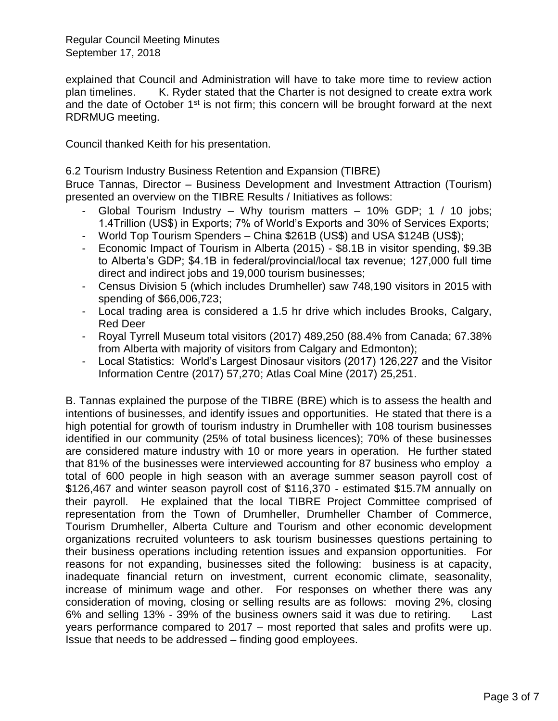explained that Council and Administration will have to take more time to review action plan timelines. K. Ryder stated that the Charter is not designed to create extra work and the date of October  $1<sup>st</sup>$  is not firm; this concern will be brought forward at the next RDRMUG meeting.

Council thanked Keith for his presentation.

6.2 Tourism Industry Business Retention and Expansion (TIBRE)

Bruce Tannas, Director – Business Development and Investment Attraction (Tourism) presented an overview on the TIBRE Results / Initiatives as follows:

- Global Tourism Industry Why tourism matters 10% GDP; 1 / 10 jobs; 1.4Trillion (US\$) in Exports; 7% of World's Exports and 30% of Services Exports;
- World Top Tourism Spenders China \$261B (US\$) and USA \$124B (US\$);
- Economic Impact of Tourism in Alberta (2015) \$8.1B in visitor spending, \$9.3B to Alberta's GDP; \$4.1B in federal/provincial/local tax revenue; 127,000 full time direct and indirect jobs and 19,000 tourism businesses;
- Census Division 5 (which includes Drumheller) saw 748,190 visitors in 2015 with spending of \$66,006,723;
- Local trading area is considered a 1.5 hr drive which includes Brooks, Calgary, Red Deer
- Royal Tyrrell Museum total visitors (2017) 489,250 (88.4% from Canada; 67.38% from Alberta with majority of visitors from Calgary and Edmonton);
- Local Statistics: World's Largest Dinosaur visitors (2017) 126,227 and the Visitor Information Centre (2017) 57,270; Atlas Coal Mine (2017) 25,251.

B. Tannas explained the purpose of the TIBRE (BRE) which is to assess the health and intentions of businesses, and identify issues and opportunities. He stated that there is a high potential for growth of tourism industry in Drumheller with 108 tourism businesses identified in our community (25% of total business licences); 70% of these businesses are considered mature industry with 10 or more years in operation. He further stated that 81% of the businesses were interviewed accounting for 87 business who employ a total of 600 people in high season with an average summer season payroll cost of \$126,467 and winter season payroll cost of \$116,370 - estimated \$15.7M annually on their payroll. He explained that the local TIBRE Project Committee comprised of representation from the Town of Drumheller, Drumheller Chamber of Commerce, Tourism Drumheller, Alberta Culture and Tourism and other economic development organizations recruited volunteers to ask tourism businesses questions pertaining to their business operations including retention issues and expansion opportunities. For reasons for not expanding, businesses sited the following: business is at capacity, inadequate financial return on investment, current economic climate, seasonality, increase of minimum wage and other. For responses on whether there was any consideration of moving, closing or selling results are as follows: moving 2%, closing 6% and selling 13% - 39% of the business owners said it was due to retiring. Last years performance compared to 2017 – most reported that sales and profits were up. Issue that needs to be addressed – finding good employees.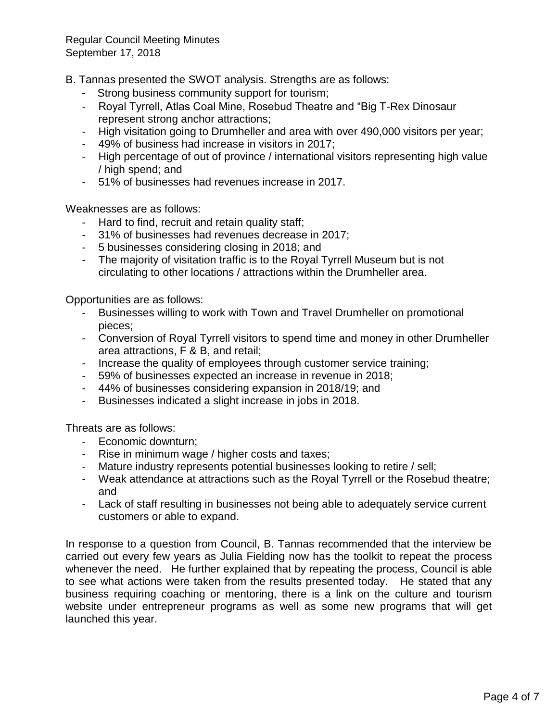B. Tannas presented the SWOT analysis. Strengths are as follows:

- Strong business community support for tourism;
- Royal Tyrrell, Atlas Coal Mine, Rosebud Theatre and "Big T-Rex Dinosaur represent strong anchor attractions;
- High visitation going to Drumheller and area with over 490,000 visitors per year;
- 49% of business had increase in visitors in 2017;
- High percentage of out of province / international visitors representing high value / high spend; and
- 51% of businesses had revenues increase in 2017.

Weaknesses are as follows:

- Hard to find, recruit and retain quality staff;
- 31% of businesses had revenues decrease in 2017;
- 5 businesses considering closing in 2018; and
- The majority of visitation traffic is to the Royal Tyrrell Museum but is not circulating to other locations / attractions within the Drumheller area.

Opportunities are as follows:

- Businesses willing to work with Town and Travel Drumheller on promotional pieces;
- Conversion of Royal Tyrrell visitors to spend time and money in other Drumheller area attractions, F & B, and retail;
- Increase the quality of employees through customer service training;
- 59% of businesses expected an increase in revenue in 2018;
- 44% of businesses considering expansion in 2018/19; and
- Businesses indicated a slight increase in jobs in 2018.

Threats are as follows:

- Economic downturn;
- Rise in minimum wage / higher costs and taxes;
- Mature industry represents potential businesses looking to retire / sell;
- Weak attendance at attractions such as the Royal Tyrrell or the Rosebud theatre; and
- Lack of staff resulting in businesses not being able to adequately service current customers or able to expand.

In response to a question from Council, B. Tannas recommended that the interview be carried out every few years as Julia Fielding now has the toolkit to repeat the process whenever the need. He further explained that by repeating the process, Council is able to see what actions were taken from the results presented today. He stated that any business requiring coaching or mentoring, there is a link on the culture and tourism website under entrepreneur programs as well as some new programs that will get launched this year.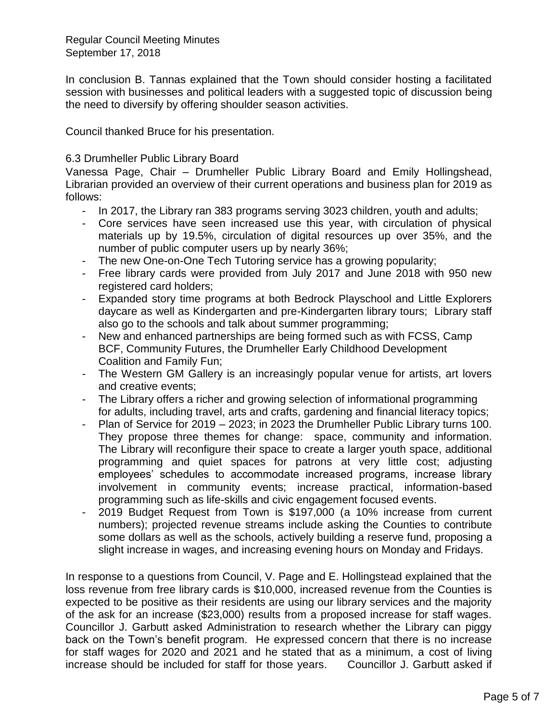In conclusion B. Tannas explained that the Town should consider hosting a facilitated session with businesses and political leaders with a suggested topic of discussion being the need to diversify by offering shoulder season activities.

Council thanked Bruce for his presentation.

#### 6.3 Drumheller Public Library Board

Vanessa Page, Chair – Drumheller Public Library Board and Emily Hollingshead, Librarian provided an overview of their current operations and business plan for 2019 as follows:

- In 2017, the Library ran 383 programs serving 3023 children, youth and adults;
- Core services have seen increased use this year, with circulation of physical materials up by 19.5%, circulation of digital resources up over 35%, and the number of public computer users up by nearly 36%;
- The new One-on-One Tech Tutoring service has a growing popularity;
- Free library cards were provided from July 2017 and June 2018 with 950 new registered card holders;
- Expanded story time programs at both Bedrock Playschool and Little Explorers daycare as well as Kindergarten and pre-Kindergarten library tours; Library staff also go to the schools and talk about summer programming;
- New and enhanced partnerships are being formed such as with FCSS, Camp BCF, Community Futures, the Drumheller Early Childhood Development Coalition and Family Fun;
- The Western GM Gallery is an increasingly popular venue for artists, art lovers and creative events;
- The Library offers a richer and growing selection of informational programming for adults, including travel, arts and crafts, gardening and financial literacy topics;
- Plan of Service for 2019 2023; in 2023 the Drumheller Public Library turns 100. They propose three themes for change: space, community and information. The Library will reconfigure their space to create a larger youth space, additional programming and quiet spaces for patrons at very little cost; adjusting employees' schedules to accommodate increased programs, increase library involvement in community events; increase practical, information-based programming such as life-skills and civic engagement focused events.
- 2019 Budget Request from Town is \$197,000 (a 10% increase from current numbers); projected revenue streams include asking the Counties to contribute some dollars as well as the schools, actively building a reserve fund, proposing a slight increase in wages, and increasing evening hours on Monday and Fridays.

In response to a questions from Council, V. Page and E. Hollingstead explained that the loss revenue from free library cards is \$10,000, increased revenue from the Counties is expected to be positive as their residents are using our library services and the majority of the ask for an increase (\$23,000) results from a proposed increase for staff wages. Councillor J. Garbutt asked Administration to research whether the Library can piggy back on the Town's benefit program. He expressed concern that there is no increase for staff wages for 2020 and 2021 and he stated that as a minimum, a cost of living increase should be included for staff for those years. Councillor J. Garbutt asked if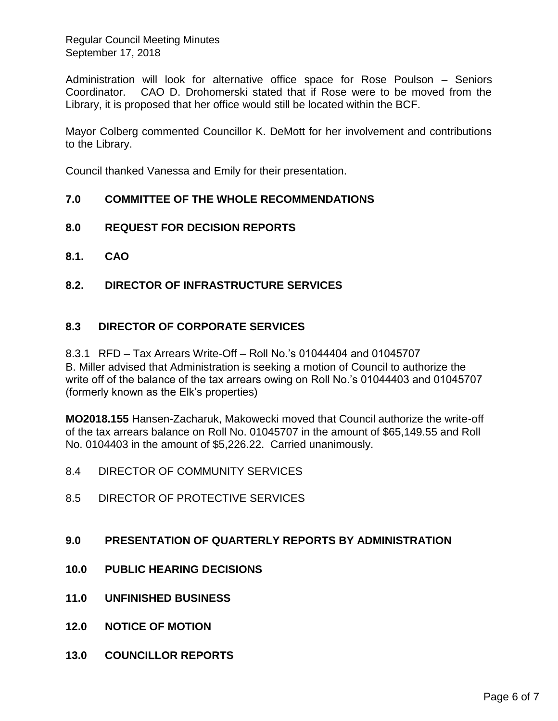Administration will look for alternative office space for Rose Poulson – Seniors Coordinator. CAO D. Drohomerski stated that if Rose were to be moved from the Library, it is proposed that her office would still be located within the BCF.

Mayor Colberg commented Councillor K. DeMott for her involvement and contributions to the Library.

Council thanked Vanessa and Emily for their presentation.

#### **7.0 COMMITTEE OF THE WHOLE RECOMMENDATIONS**

- **8.0 REQUEST FOR DECISION REPORTS**
- **8.1. CAO**
- **8.2. DIRECTOR OF INFRASTRUCTURE SERVICES**

## **8.3 DIRECTOR OF CORPORATE SERVICES**

8.3.1 RFD – Tax Arrears Write-Off – Roll No.'s 01044404 and 01045707

B. Miller advised that Administration is seeking a motion of Council to authorize the write off of the balance of the tax arrears owing on Roll No.'s 01044403 and 01045707 (formerly known as the Elk's properties)

**MO2018.155** Hansen-Zacharuk, Makowecki moved that Council authorize the write-off of the tax arrears balance on Roll No. 01045707 in the amount of \$65,149.55 and Roll No. 0104403 in the amount of \$5,226.22. Carried unanimously.

- 8.4 DIRECTOR OF COMMUNITY SERVICES
- 8.5 DIRECTOR OF PROTECTIVE SERVICES

#### **9.0 PRESENTATION OF QUARTERLY REPORTS BY ADMINISTRATION**

- **10.0 PUBLIC HEARING DECISIONS**
- **11.0 UNFINISHED BUSINESS**
- **12.0 NOTICE OF MOTION**
- **13.0 COUNCILLOR REPORTS**